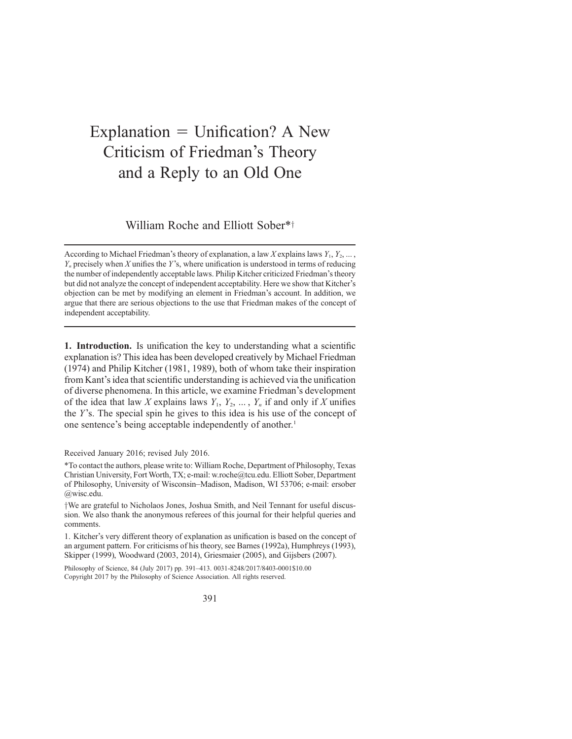# Explanation  $=$  Unification? A New Criticism of Friedman's Theory and a Reply to an Old One

## William Roche and Elliott Sober\*<sup>†</sup>

According to Michael Friedman's theory of explanation, a law X explains laws  $Y_1, Y_2, \ldots$ ,  $Y_n$  precisely when X unifies the Y's, where unification is understood in terms of reducing the number of independently acceptable laws. Philip Kitcher criticized Friedman's theory but did not analyze the concept of independent acceptability. Here we show that Kitcher's objection can be met by modifying an element in Friedman's account. In addition, we argue that there are serious objections to the use that Friedman makes of the concept of independent acceptability.

1. Introduction. Is unification the key to understanding what a scientific explanation is? This idea has been developed creatively by Michael Friedman (1974) and Philip Kitcher (1981, 1989), both of whom take their inspiration from Kant's idea that scientific understanding is achieved via the unification of diverse phenomena. In this article, we examine Friedman's development of the idea that law X explains laws  $Y_1, Y_2, ..., Y_n$  if and only if X unifies the Y's. The special spin he gives to this idea is his use of the concept of one sentence's being acceptable independently of another.<sup>1</sup>

Received January 2016; revised July 2016.

\*To contact the authors, please write to: William Roche, Department of Philosophy, Texas Christian University, Fort Worth, TX; e-mail: w.roche@tcu.edu. Elliott Sober, Department of Philosophy, University of Wisconsin–Madison, Madison, WI 53706; e-mail: ersober @wisc.edu.

<sup>†</sup>We are grateful to Nicholaos Jones, Joshua Smith, and Neil Tennant for useful discussion. We also thank the anonymous referees of this journal for their helpful queries and comments.

1. Kitcher's very different theory of explanation as unification is based on the concept of an argument pattern. For criticisms of his theory, see Barnes (1992a), Humphreys (1993), Skipper (1999), Woodward (2003, 2014), Griesmaier (2005), and Gijsbers (2007).

Philosophy of Science, 84 (July 2017) pp. 391–413. 0031-8248/2017/8403-0001\$10.00 Copyright 2017 by the Philosophy of Science Association. All rights reserved.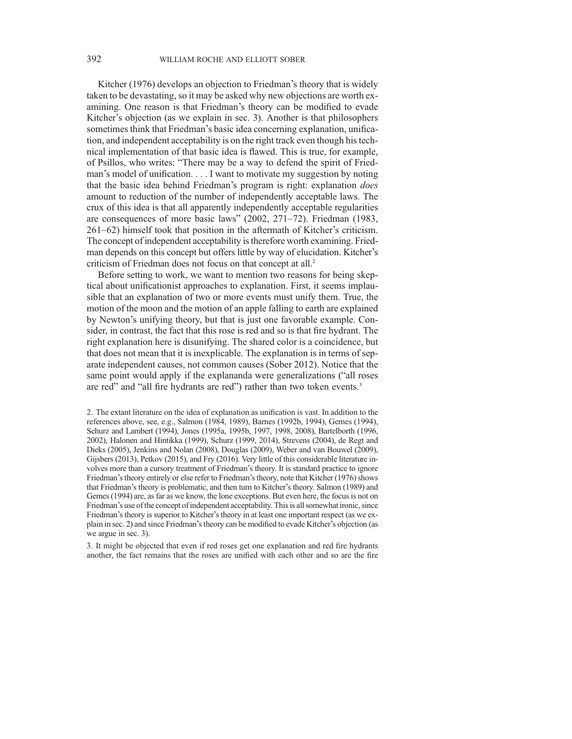Kitcher (1976) develops an objection to Friedman's theory that is widely taken to be devastating, so it may be asked why new objections are worth examining. One reason is that Friedman's theory can be modified to evade Kitcher's objection (as we explain in sec. 3). Another is that philosophers sometimes think that Friedman's basic idea concerning explanation, unification, and independent acceptability is on the right track even though his technical implementation of that basic idea is flawed. This is true, for example, of Psillos, who writes: "There may be a way to defend the spirit of Friedman's model of unification. . . . I want to motivate my suggestion by noting that the basic idea behind Friedman's program is right: explanation does amount to reduction of the number of independently acceptable laws. The crux of this idea is that all apparently independently acceptable regularities are consequences of more basic laws" (2002, 271–72). Friedman (1983, 261–62) himself took that position in the aftermath of Kitcher's criticism. The concept of independent acceptability is therefore worth examining. Friedman depends on this concept but offers little by way of elucidation. Kitcher's criticism of Friedman does not focus on that concept at all.<sup>2</sup>

Before setting to work, we want to mention two reasons for being skeptical about unificationist approaches to explanation. First, it seems implausible that an explanation of two or more events must unify them. True, the motion of the moon and the motion of an apple falling to earth are explained by Newton's unifying theory, but that is just one favorable example. Consider, in contrast, the fact that this rose is red and so is that fire hydrant. The right explanation here is disunifying. The shared color is a coincidence, but that does not mean that it is inexplicable. The explanation is in terms of separate independent causes, not common causes (Sober 2012). Notice that the same point would apply if the explananda were generalizations ("all roses are red" and "all fire hydrants are red") rather than two token events.<sup>3</sup>

2. The extant literature on the idea of explanation as unification is vast. In addition to the references above, see, e.g., Salmon (1984, 1989), Barnes (1992b, 1994), Gemes (1994), Schurz and Lambert (1994), Jones (1995a, 1995b, 1997, 1998, 2008), Bartelborth (1996, 2002), Halonen and Hintikka (1999), Schurz (1999, 2014), Strevens (2004), de Regt and Dieks (2005), Jenkins and Nolan (2008), Douglas (2009), Weber and van Bouwel (2009), Gijsbers (2013), Petkov (2015), and Fry (2016). Very little of this considerable literature involves more than a cursory treatment of Friedman's theory. It is standard practice to ignore Friedman's theory entirely or else refer to Friedman's theory, note that Kitcher (1976) shows that Friedman's theory is problematic, and then turn to Kitcher's theory. Salmon (1989) and Gemes (1994) are, as far as we know, the lone exceptions. But even here, the focus is not on Friedman's use of the concept of independent acceptability. This is all somewhat ironic, since Friedman's theory is superior to Kitcher's theory in at least one important respect (as we explain in sec. 2) and since Friedman's theory can be modified to evade Kitcher's objection (as we argue in sec. 3).

3. It might be objected that even if red roses get one explanation and red fire hydrants another, the fact remains that the roses are unified with each other and so are the fire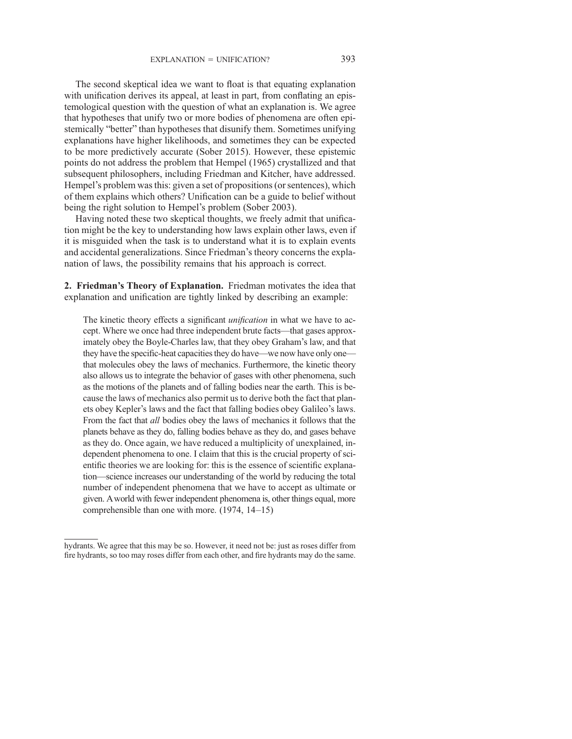The second skeptical idea we want to float is that equating explanation with unification derives its appeal, at least in part, from conflating an epistemological question with the question of what an explanation is. We agree that hypotheses that unify two or more bodies of phenomena are often epistemically "better" than hypotheses that disunify them. Sometimes unifying explanations have higher likelihoods, and sometimes they can be expected to be more predictively accurate (Sober 2015). However, these epistemic points do not address the problem that Hempel (1965) crystallized and that subsequent philosophers, including Friedman and Kitcher, have addressed. Hempel's problem was this: given a set of propositions (or sentences), which of them explains which others? Unification can be a guide to belief without being the right solution to Hempel's problem (Sober 2003).

Having noted these two skeptical thoughts, we freely admit that unification might be the key to understanding how laws explain other laws, even if it is misguided when the task is to understand what it is to explain events and accidental generalizations. Since Friedman's theory concerns the explanation of laws, the possibility remains that his approach is correct.

2. Friedman's Theory of Explanation. Friedman motivates the idea that explanation and unification are tightly linked by describing an example:

The kinetic theory effects a significant *unification* in what we have to accept. Where we once had three independent brute facts—that gases approximately obey the Boyle-Charles law, that they obey Graham's law, and that they have the specific-heat capacities they do have—we now have only one that molecules obey the laws of mechanics. Furthermore, the kinetic theory also allows us to integrate the behavior of gases with other phenomena, such as the motions of the planets and of falling bodies near the earth. This is because the laws of mechanics also permit us to derive both the fact that planets obey Kepler's laws and the fact that falling bodies obey Galileo's laws. From the fact that all bodies obey the laws of mechanics it follows that the planets behave as they do, falling bodies behave as they do, and gases behave as they do. Once again, we have reduced a multiplicity of unexplained, independent phenomena to one. I claim that this is the crucial property of scientific theories we are looking for: this is the essence of scientific explanation—science increases our understanding of the world by reducing the total number of independent phenomena that we have to accept as ultimate or given. Aworld with fewer independent phenomena is, other things equal, more comprehensible than one with more. (1974, 14–15)

hydrants. We agree that this may be so. However, it need not be: just as roses differ from fire hydrants, so too may roses differ from each other, and fire hydrants may do the same.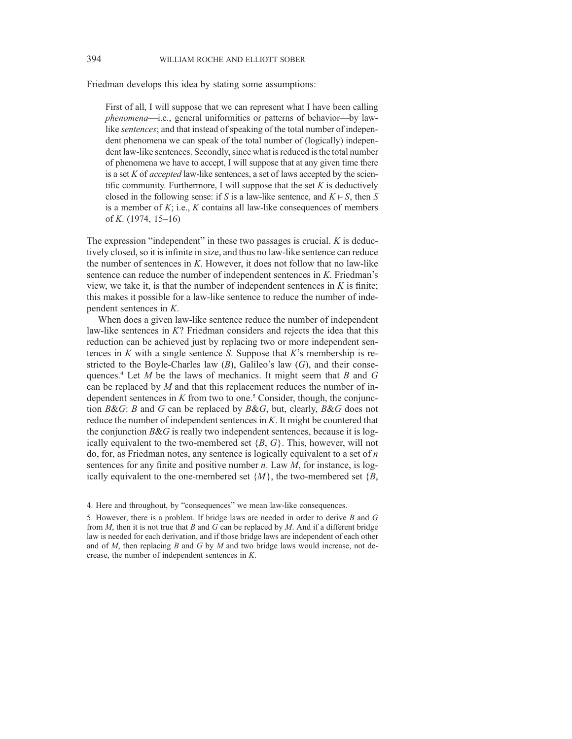Friedman develops this idea by stating some assumptions:

First of all, I will suppose that we can represent what I have been calling phenomena—i.e., general uniformities or patterns of behavior—by lawlike *sentences*; and that instead of speaking of the total number of independent phenomena we can speak of the total number of (logically) independent law-like sentences. Secondly, since what is reduced is the total number of phenomena we have to accept, I will suppose that at any given time there is a set  $K$  of *accepted* law-like sentences, a set of laws accepted by the scientific community. Furthermore, I will suppose that the set  $K$  is deductively closed in the following sense: if S is a law-like sentence, and  $K \vdash S$ , then S is a member of  $K$ ; i.e.,  $K$  contains all law-like consequences of members of K.  $(1974, 15-16)$ 

The expression "independent" in these two passages is crucial.  $K$  is deductively closed, so it is infinite in size, and thus no law-like sentence can reduce the number of sentences in  $K$ . However, it does not follow that no law-like sentence can reduce the number of independent sentences in K. Friedman's view, we take it, is that the number of independent sentences in  $K$  is finite; this makes it possible for a law-like sentence to reduce the number of independent sentences in K.

When does a given law-like sentence reduce the number of independent law-like sentences in  $K$ ? Friedman considers and rejects the idea that this reduction can be achieved just by replacing two or more independent sentences in  $K$  with a single sentence  $S$ . Suppose that  $K$ 's membership is restricted to the Boyle-Charles law  $(B)$ , Galileo's law  $(G)$ , and their consequences.<sup>4</sup> Let  $M$  be the laws of mechanics. It might seem that  $B$  and  $G$ can be replaced by  $M$  and that this replacement reduces the number of independent sentences in  $K$  from two to one.<sup>5</sup> Consider, though, the conjunction  $B\&G$ : B and G can be replaced by  $B\&G$ , but, clearly,  $B\&G$  does not reduce the number of independent sentences in  $K$ . It might be countered that the conjunction  $B\&G$  is really two independent sentences, because it is logically equivalent to the two-membered set  $\{B, G\}$ . This, however, will not do, for, as Friedman notes, any sentence is logically equivalent to a set of  $n$ sentences for any finite and positive number  $n$ . Law  $M$ , for instance, is logically equivalent to the one-membered set  $\{M\}$ , the two-membered set  $\{B,$ 

<sup>4.</sup> Here and throughout, by "consequences" we mean law-like consequences.

<sup>5.</sup> However, there is a problem. If bridge laws are needed in order to derive B and G from  $M$ , then it is not true that  $B$  and  $G$  can be replaced by  $M$ . And if a different bridge law is needed for each derivation, and if those bridge laws are independent of each other and of M, then replacing B and G by M and two bridge laws would increase, not decrease, the number of independent sentences in K.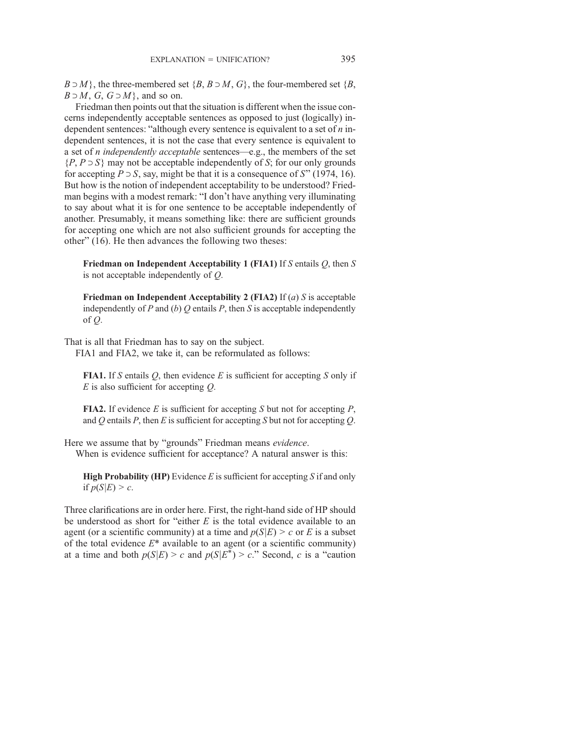$B \supset M$ , the three-membered set  $\{B, B \supset M, G\}$ , the four-membered set  $\{B,$  $B \supset M$ ,  $G$ ,  $G \supset M$ , and so on.

Friedman then points out that the situation is different when the issue concerns independently acceptable sentences as opposed to just (logically) independent sentences: "although every sentence is equivalent to a set of  $n$  independent sentences, it is not the case that every sentence is equivalent to a set of *n* independently acceptable sentences—e.g., the members of the set  ${P, P \supset S}$  may not be acceptable independently of S; for our only grounds for accepting  $P \supset S$ , say, might be that it is a consequence of S" (1974, 16). But how is the notion of independent acceptability to be understood? Friedman begins with a modest remark: "I don't have anything very illuminating to say about what it is for one sentence to be acceptable independently of another. Presumably, it means something like: there are sufficient grounds for accepting one which are not also sufficient grounds for accepting the other" (16). He then advances the following two theses:

Friedman on Independent Acceptability 1 (FIA1) If S entails  $Q$ , then S is not acceptable independently of Q.

Friedman on Independent Acceptability 2 (FIA2) If  $(a)$  S is acceptable independently of P and  $(b)$  Q entails P, then S is acceptable independently of Q.

That is all that Friedman has to say on the subject.

FIA1 and FIA2, we take it, can be reformulated as follows:

**FIA1.** If S entails  $Q$ , then evidence E is sufficient for accepting S only if  $E$  is also sufficient for accepting  $Q$ .

**FIA2.** If evidence E is sufficient for accepting S but not for accepting  $P$ , and  $Q$  entails  $P$ , then  $E$  is sufficient for accepting  $S$  but not for accepting  $Q$ .

Here we assume that by "grounds" Friedman means evidence. When is evidence sufficient for acceptance? A natural answer is this:

**High Probability (HP)** Evidence  $E$  is sufficient for accepting  $S$  if and only if  $p(S|E) > c$ .

Three clarifications are in order here. First, the right-hand side of HP should be understood as short for "either  $E$  is the total evidence available to an agent (or a scientific community) at a time and  $p(S|E) > c$  or E is a subset of the total evidence  $E^*$  available to an agent (or a scientific community) at a time and both  $p(S|E) > c$  and  $p(S|E^*) > c$ ." Second, c is a "caution"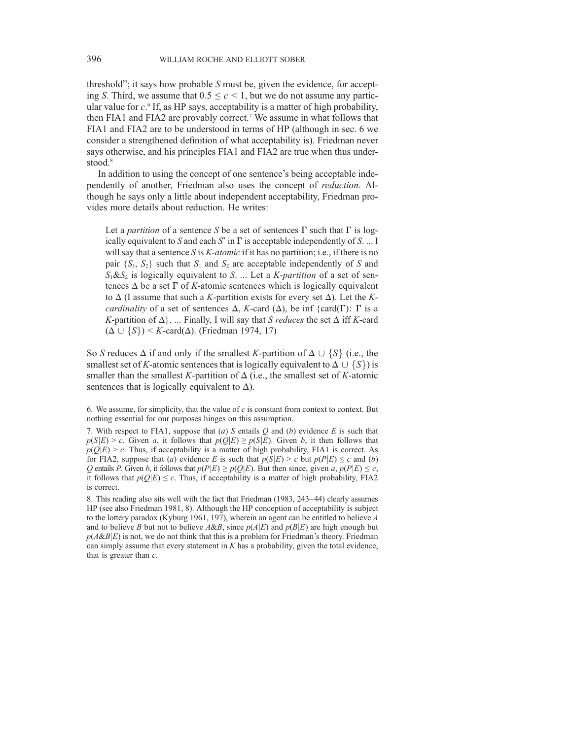threshold"; it says how probable S must be, given the evidence, for accepting S. Third, we assume that  $0.5 \le c \le 1$ , but we do not assume any particular value for c. <sup>6</sup> If, as HP says, acceptability is a matter of high probability, then FIA1 and FIA2 are provably correct.<sup>7</sup> We assume in what follows that FIA1 and FIA2 are to be understood in terms of HP (although in sec. 6 we consider a strengthened definition of what acceptability is). Friedman never says otherwise, and his principles FIA1 and FIA2 are true when thus understood.<sup>8</sup>

In addition to using the concept of one sentence's being acceptable independently of another, Friedman also uses the concept of reduction. Although he says only a little about independent acceptability, Friedman provides more details about reduction. He writes:

Let a *partition* of a sentence S be a set of sentences  $\Gamma$  such that  $\Gamma$  is logically equivalent to S and each S' in  $\Gamma$  is acceptable independently of S. ... I will say that a sentence S is  $K$ -atomic if it has no partition; i.e., if there is nopair  $\{S_1, S_2\}$  such that  $S_1$  and  $S_2$  are acceptable independently of S and  $S_1 \& S_2$  is logically equivalent to S. ... Let a *K-partition* of a set of sentences  $\Delta$  be a set  $\Gamma$  of K-atomic sentences which is logically equivalent to  $\Delta$  (I assume that such a K-partition exists for every set  $\Delta$ ). Let the Kcardinality of a set of sentences  $\Delta$ , K-card ( $\Delta$ ), be inf {card( $\Gamma$ ):  $\Gamma$  is a K-partition of  $\Delta$ ... Finally, I will say that S reduces the set  $\Delta$  iff K-card  $(\Delta \cup \{S\})$  < K-card $(\Delta)$ . (Friedman 1974, 17)

So S reduces  $\Delta$  if and only if the smallest K-partition of  $\Delta \cup \{S\}$  (i.e., the smallest set of K-atomic sentences that is logically equivalent to  $\Delta \cup \{S\}$  is smaller than the smallest K-partition of  $\Delta$  (i.e., the smallest set of K-atomic sentences that is logically equivalent to  $\Delta$ ).

6. We assume, for simplicity, that the value of  $c$  is constant from context to context. But nothing essential for our purposes hinges on this assumption.

7. With respect to FIA1, suppose that (a) S entails  $Q$  and (b) evidence E is such that  $p(S|E) > c$ . Given a, it follows that  $p(Q|E) \ge p(S|E)$ . Given b, it then follows that  $p(Q|E) > c$ . Thus, if acceptability is a matter of high probability, FIA1 is correct. As for FIA2, suppose that (a) evidence E is such that  $p(S|E) > c$  but  $p(P|E) \leq c$  and (b) Q entails P. Given b, it follows that  $p(P|E) \ge p(Q|E)$ . But then since, given a,  $p(P|E) \le c$ , it follows that  $p(Q|E) \leq c$ . Thus, if acceptability is a matter of high probability, FIA2 is correct.

8. This reading also sits well with the fact that Friedman (1983, 243–44) clearly assumes HP (see also Friedman 1981, 8). Although the HP conception of acceptability is subject to the lottery paradox (Kyburg 1961, 197), wherein an agent can be entitled to believe A and to believe B but not to believe  $A\&B$ , since  $p(A|E)$  and  $p(B|E)$  are high enough but  $p(A&B|E)$  is not, we do not think that this is a problem for Friedman's theory. Friedman can simply assume that every statement in  $K$  has a probability, given the total evidence, that is greater than  $c$ .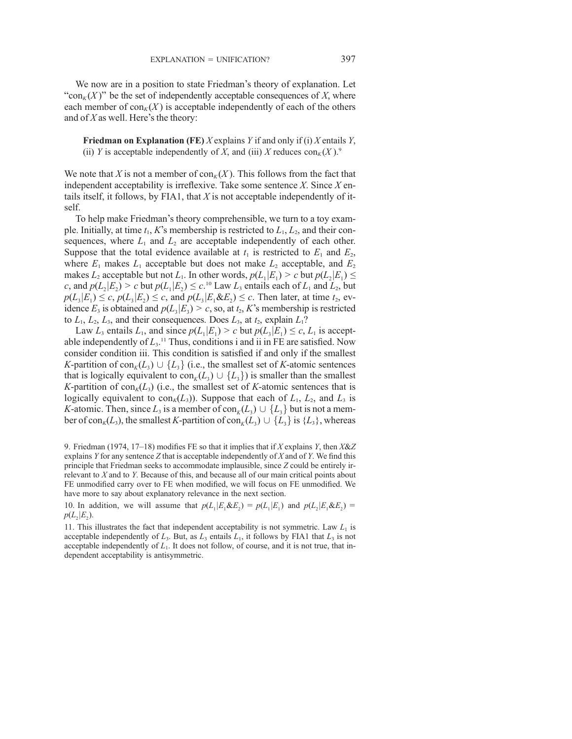We now are in a position to state Friedman's theory of explanation. Let "con<sub>K</sub> $(X)$ " be the set of independently acceptable consequences of X, where each member of  $con_K(X)$  is acceptable independently of each of the others and of  $X$  as well. Here's the theory:

**Friedman on Explanation (FE)** X explains Y if and only if (i) X entails Y, (ii) Y is acceptable independently of X, and (iii) X reduces  $con_K(X)$ .<sup>9</sup>

We note that X is not a member of  $con_K(X)$ . This follows from the fact that independent acceptability is irreflexive. Take some sentence  $X$ . Since  $X$  entails itself, it follows, by FIA1, that  $X$  is not acceptable independently of itself.

To help make Friedman's theory comprehensible, we turn to a toy example. Initially, at time  $t_1$ , K's membership is restricted to  $L_1$ ,  $L_2$ , and their consequences, where  $L_1$  and  $L_2$  are acceptable independently of each other. Suppose that the total evidence available at  $t_1$  is restricted to  $E_1$  and  $E_2$ , where  $E_1$  makes  $L_1$  acceptable but does not make  $L_2$  acceptable, and  $E_2$ makes  $L_2$  acceptable but not  $L_1$ . In other words,  $p(L_1|E_1) > c$  but  $p(L_2|E_1) \leq$ c, and  $p(L_2|E_2) > c$  but  $p(L_1|E_2) \le c$ .<sup>10</sup> Law  $L_3$  entails each of  $L_1$  and  $L_2$ , but  $p(L|E_1) \le c$  and  $p(L|E_2) \le c$ . Then later at time  $t_2$  ev $p(L_3|E_1) \leq c$ ,  $p(L_3|E_2) \leq c$ , and  $p(L_3|E_1\&E_2) \leq c$ . Then later, at time  $t_2$ , evidence  $E_3$  is obtained and  $p(L_3|E_3) > c$ , so, at  $t_2$ , K's membership is restricted to  $L_1$ ,  $L_2$ ,  $L_3$ , and their consequences. Does  $L_3$ , at  $t_2$ , explain  $L_1$ ?

Law  $L_3$  entails  $L_1$ , and since  $p(L_1|E_1) > c$  but  $p(L_3|E_1) \leq c, L_1$  is acceptable independently of  $L_3$ .<sup>11</sup> Thus, conditions i and ii in FE are satisfied. Now consider condition iii. This condition is satisfied if and only if the smallest K-partition of con<sub>K</sub>(L<sub>3</sub>)  $\cup$  {L<sub>3</sub>} (i.e., the smallest set of K-atomic sentences that is logically equivalent to  $con_K(L_3) \cup \{L_3\}$  is smaller than the smallest K-partition of con<sub> $K$ </sub> $(L_3)$  (i.e., the smallest set of K-atomic sentences that is logically equivalent to  $con_K(L_3)$ ). Suppose that each of  $L_1$ ,  $L_2$ , and  $L_3$  is *K*-atomic. Then, since  $L_3$  is a member of  $con_K(L_3) \cup \{L_3\}$  but is not a member of con<sub>K</sub>(L<sub>3</sub>), the smallest K-partition of con<sub>K</sub>(L<sub>3</sub>)  $\cup$  {L<sub>3</sub>} is {L<sub>3</sub>}, whereas

9. Friedman (1974, 17-18) modifies FE so that it implies that if  $X$  explains  $Y$ , then  $X&Z$ explains  $Y$  for any sentence  $Z$  that is acceptable independently of  $X$  and of  $Y$ . We find this principle that Friedman seeks to accommodate implausible, since Z could be entirely irrelevant to X and to Y. Because of this, and because all of our main critical points about FE unmodified carry over to FE when modified, we will focus on FE unmodified. We have more to say about explanatory relevance in the next section.

10. In addition, we will assume that  $p(L_1|E_1\&E_2) = p(L_1|E_1)$  and  $p(L_2|E_1\&E_2) =$  $p(L_2|E_2)$ .

11. This illustrates the fact that independent acceptability is not symmetric. Law  $L_1$  is acceptable independently of  $L_3$ . But, as  $L_3$  entails  $L_1$ , it follows by FIA1 that  $L_3$  is not acceptable independently of  $L<sub>1</sub>$ . It does not follow, of course, and it is not true, that independent acceptability is antisymmetric.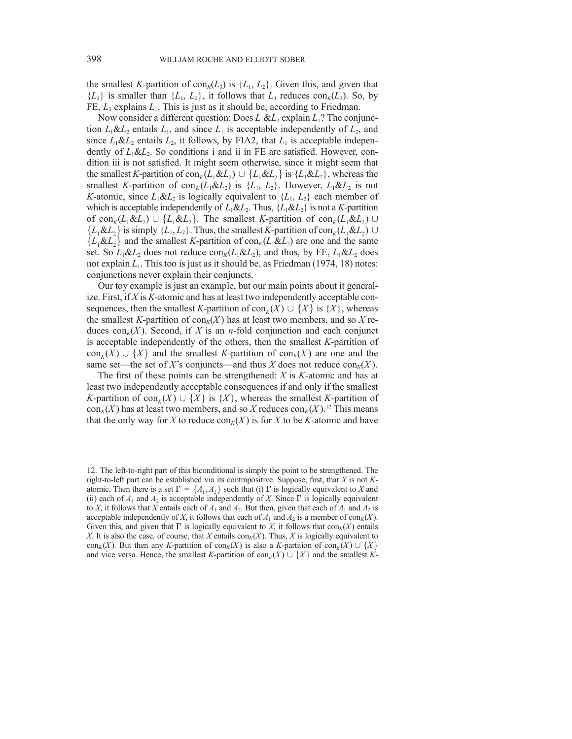the smallest K-partition of  $con_K(L_3)$  is  $\{L_1, L_2\}$ . Given this, and given that  $\{L_3\}$  is smaller than  $\{L_1, L_2\}$ , it follows that  $L_3$  reduces con<sub>K</sub>( $L_3$ ). So, by FE,  $L_3$  explains  $L_1$ . This is just as it should be, according to Friedman.

Now consider a different question: Does  $L_1 \& L_2$  explain  $L_1$ ? The conjunction  $L_1 \& L_2$  entails  $L_1$ , and since  $L_1$  is acceptable independently of  $L_2$ , and since  $L_1 \& L_2$  entails  $L_2$ , it follows, by FIA2, that  $L_1$  is acceptable independently of  $L_1 \& L_2$ . So conditions i and ii in FE are satisfied. However, condition iii is not satisfied. It might seem otherwise, since it might seem that the smallest K-partition of  $con_K(L_1\&L_2) \cup \{L_1\&L_2\}$  is  $\{L_1\&L_2\}$ , whereas the smallest K-partition of  $con_K(L_1\&L_2)$  is  $\{L_1, L_2\}$ . However,  $L_1\&L_2$  is not K-atomic, since  $L_1 \& L_2$  is logically equivalent to  $\{L_1, L_2\}$  each member of which is acceptable independently of  $L_1 \& L_2$ . Thus,  $\{L_1 \& L_2\}$  is not a K-partition of con<sub>k</sub>(L<sub>1</sub>&L<sub>2</sub>)  $\cup$  {L<sub>1</sub>&L<sub>2</sub>}. The smallest K-partition of con<sub>k</sub>(L<sub>1</sub>&L<sub>2</sub>)  $\cup$  ${L_1 \& L_2}$  is simply  ${L_1, L_2}$ . Thus, the smallest K-partition of con $K(L_1 \& L_2)$   $\cup$  ${L_1 \& L_2}$  and the smallest K-partition of  $con_K(L_1 \& L_2)$  are one and the same set. So  $L_1 \& L_2$  does not reduce  $con_K(L_1 \& L_2)$ , and thus, by FE,  $L_1 \& L_2$  does not explain  $L_1$ . This too is just as it should be, as Friedman (1974, 18) notes: conjunctions never explain their conjuncts.

Our toy example is just an example, but our main points about it generalize. First, if  $X$  is  $K$ -atomic and has at least two independently acceptable consequences, then the smallest K-partition of  $con_K(X) \cup \{X\}$  is  $\{X\}$ , whereas the smallest K-partition of  $con_k(X)$  has at least two members, and so X reduces con<sub>K</sub> $(X)$ . Second, if X is an *n*-fold conjunction and each conjunct is acceptable independently of the others, then the smallest K-partition of  $con_K(X) \cup \{X\}$  and the smallest K-partition of  $con_K(X)$  are one and the same set—the set of X's conjuncts—and thus X does not reduce  $con_K(X)$ .

The first of these points can be strengthened:  $X$  is  $K$ -atomic and has at least two independently acceptable consequences if and only if the smallest K-partition of  $con_K(X) \cup \{X\}$  is  $\{X\}$ , whereas the smallest K-partition of  $con_K(X)$  has at least two members, and so X reduces  $con_K(X)$ .<sup>12</sup> This means that the only way for X to reduce  $con_K(X)$  is for X to be K-atomic and have

<sup>12.</sup> The left-to-right part of this biconditional is simply the point to be strengthened. The right-to-left part can be established via its contrapositive. Suppose, first, that  $X$  is not  $K$ atomic. Then there is a set  $\Gamma = \{A_1, A_2\}$  such that (i)  $\Gamma$  is logically equivalent to X and (ii) each of  $A_1$  and  $A_2$  is acceptable independently of X. Since  $\Gamma$  is logically equivalent to X, it follows that X entails each of  $A_1$  and  $A_2$ . But then, given that each of  $A_1$  and  $A_2$  is acceptable independently of X, it follows that each of  $A_1$  and  $A_2$  is a member of con<sub>K</sub>(X). Given this, and given that  $\Gamma$  is logically equivalent to X, it follows that con<sub>K</sub>(X) entails X. It is also the case, of course, that X entails  $con_K(X)$ . Thus, X is logically equivalent to con<sub>K</sub>(X). But then any K-partition of con<sub>K</sub>(X) is also a K-partition of con<sub>K</sub>(X)  $\cup$  {X} and vice versa. Hence, the smallest K-partition of  $con_k(X) \cup \{X\}$  and the smallest K-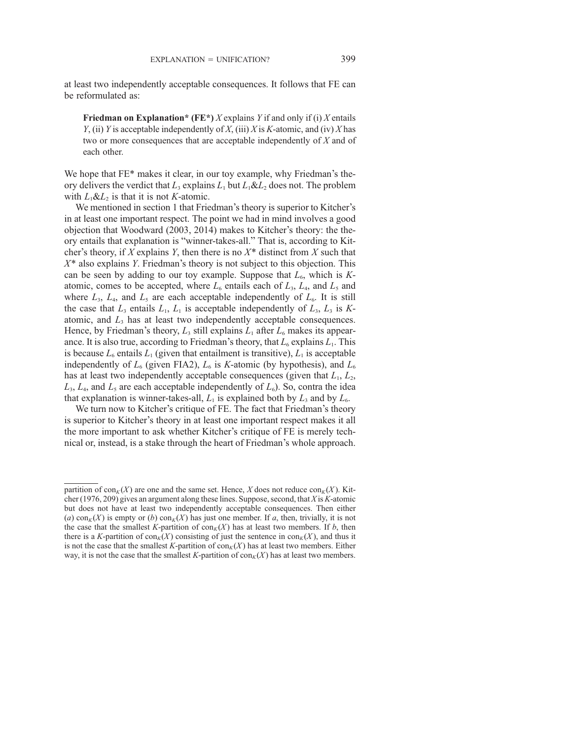at least two independently acceptable consequences. It follows that FE can be reformulated as:

**Friedman on Explanation\*** (FE\*) X explains Y if and only if (i) X entails Y, (ii) Y is acceptable independently of X, (iii) X is K-atomic, and (iv) X has two or more consequences that are acceptable independently of X and of each other.

We hope that FE\* makes it clear, in our toy example, why Friedman's theory delivers the verdict that  $L_3$  explains  $L_1$  but  $L_1 \& L_2$  does not. The problem with  $L_1 \& L_2$  is that it is not K-atomic.

We mentioned in section 1 that Friedman's theory is superior to Kitcher's in at least one important respect. The point we had in mind involves a good objection that Woodward (2003, 2014) makes to Kitcher's theory: the theory entails that explanation is "winner-takes-all." That is, according to Kitcher's theory, if X explains Y, then there is no  $X^*$  distinct from X such that  $X^*$  also explains Y. Friedman's theory is not subject to this objection. This can be seen by adding to our toy example. Suppose that  $L_6$ , which is Katomic, comes to be accepted, where  $L_6$  entails each of  $L_3$ ,  $L_4$ , and  $L_5$  and where  $L_3$ ,  $L_4$ , and  $L_5$  are each acceptable independently of  $L_6$ . It is still the case that  $L_3$  entails  $L_1$ ,  $L_1$  is acceptable independently of  $L_3$ ,  $L_3$  is Katomic, and  $L<sub>3</sub>$  has at least two independently acceptable consequences. Hence, by Friedman's theory,  $L_3$  still explains  $L_1$  after  $L_6$  makes its appearance. It is also true, according to Friedman's theory, that  $L_6$  explains  $L_1$ . This is because  $L_6$  entails  $L_1$  (given that entailment is transitive),  $L_1$  is acceptable independently of  $L_6$  (given FIA2),  $L_6$  is K-atomic (by hypothesis), and  $L_6$ has at least two independently acceptable consequences (given that  $L_1, L_2$ ,  $L_3$ ,  $L_4$ , and  $L_5$  are each acceptable independently of  $L_6$ ). So, contra the idea that explanation is winner-takes-all,  $L_1$  is explained both by  $L_3$  and by  $L_6$ .

We turn now to Kitcher's critique of FE. The fact that Friedman's theory is superior to Kitcher's theory in at least one important respect makes it all the more important to ask whether Kitcher's critique of FE is merely technical or, instead, is a stake through the heart of Friedman's whole approach.

partition of  $con_K(X)$  are one and the same set. Hence, X does not reduce  $con_K(X)$ . Kitcher (1976, 209) gives an argument along these lines. Suppose, second, that X is K-atomic but does not have at least two independently acceptable consequences. Then either (a) con<sub>K</sub>(X) is empty or (b) con<sub>K</sub>(X) has just one member. If a, then, trivially, it is not the case that the smallest K-partition of  $con_K(X)$  has at least two members. If b, then there is a K-partition of  $\text{con}_K(X)$  consisting of just the sentence in  $\text{con}_K(X)$ , and thus it is not the case that the smallest K-partition of  $con_K(X)$  has at least two members. Either way, it is not the case that the smallest K-partition of  $con_K(X)$  has at least two members.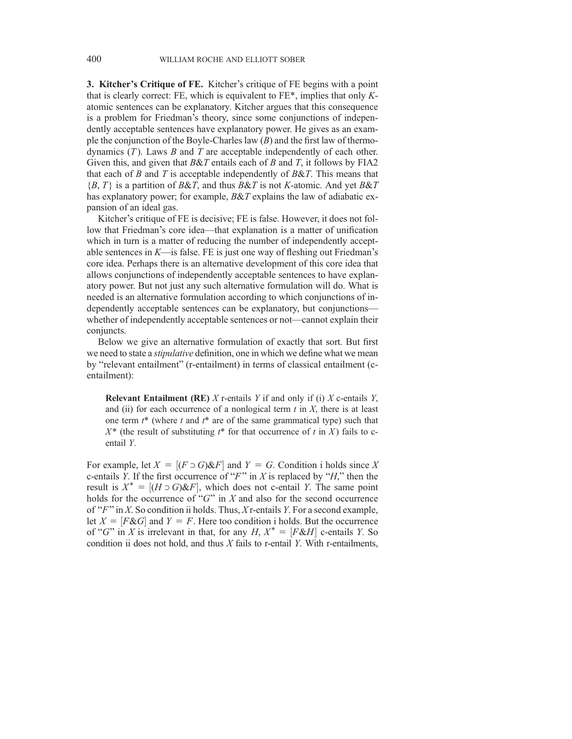3. Kitcher's Critique of FE. Kitcher's critique of FE begins with a point that is clearly correct: FE, which is equivalent to FE\*, implies that only Katomic sentences can be explanatory. Kitcher argues that this consequence is a problem for Friedman's theory, since some conjunctions of independently acceptable sentences have explanatory power. He gives as an example the conjunction of the Boyle-Charles law  $(B)$  and the first law of thermodynamics  $(T)$ . Laws  $B$  and  $T$  are acceptable independently of each other. Given this, and given that  $B\&T$  entails each of B and T, it follows by FIA2 that each of  $B$  and  $T$  is acceptable independently of  $B&T$ . This means that  ${B, T}$  is a partition of B&T, and thus B&T is not K-atomic. And yet B&T has explanatory power; for example,  $B\&T$  explains the law of adiabatic expansion of an ideal gas.

Kitcher's critique of FE is decisive; FE is false. However, it does not follow that Friedman's core idea—that explanation is a matter of unification which in turn is a matter of reducing the number of independently acceptable sentences in K—is false. FE is just one way of fleshing out Friedman's core idea. Perhaps there is an alternative development of this core idea that allows conjunctions of independently acceptable sentences to have explanatory power. But not just any such alternative formulation will do. What is needed is an alternative formulation according to which conjunctions of independently acceptable sentences can be explanatory, but conjunctions whether of independently acceptable sentences or not—cannot explain their conjuncts.

Below we give an alternative formulation of exactly that sort. But first we need to state a stipulative definition, one in which we define what we mean by "relevant entailment" (r-entailment) in terms of classical entailment (centailment):

**Relevant Entailment (RE)** X r-entails Y if and only if (i) X c-entails Y, and (ii) for each occurrence of a nonlogical term  $t$  in  $X$ , there is at least one term  $t^*$  (where t and  $t^*$  are of the same grammatical type) such that  $X^*$  (the result of substituting  $t^*$  for that occurrence of t in X) fails to centail Y.

For example, let  $X = [(F \supset G)\&F]$  and  $Y = G$ . Condition i holds since X c-entails Y If the first occurrence of "F" in X is replaced by "H" then the c-entails Y. If the first occurrence of " $F$ " in X is replaced by " $H$ ," then the result is  $X^* = [(H \supset G)\&F]$ , which does not c-entail Y. The same point holds for the occurrence of "G" in X and also for the second occurrence holds for the occurrence of "G" in  $X$  and also for the second occurrence of " $F$ " in X. So condition ii holds. Thus, X r-entails Y. For a second example, let  $X = [F \& G]$ <br>of "G" in X is let  $X = [F \& G]$  and  $Y = F$ . Here too condition i holds. But the occurrence of "G" in X is irrelevant in that, for any  $H, X^* = [F \& H]$  c-entails Y. So condition is does not hold and thus X fails to r-entail Y. With r-entailments condition ii does not hold, and thus  $X$  fails to r-entail  $Y$ . With r-entailments,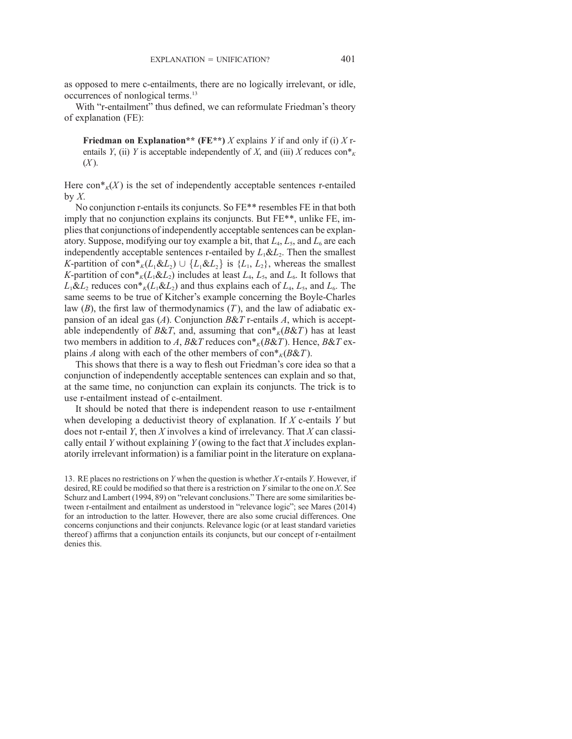as opposed to mere c-entailments, there are no logically irrelevant, or idle, occurrences of nonlogical terms.13

With "r-entailment" thus defined, we can reformulate Friedman's theory of explanation (FE):

Friedman on Explanation\*\* (FE\*\*)  $X$  explains  $Y$  if and only if (i)  $X$  rentails Y, (ii) Y is acceptable independently of X, and (iii) X reduces  $con^*_{K}$  $(X)$ .

Here  $\text{con*}_{K}(X)$  is the set of independently acceptable sentences r-entailed by  $X$ .

No conjunction r-entails its conjuncts. So FE\*\* resembles FE in that both imply that no conjunction explains its conjuncts. But FE\*\*, unlike FE, implies that conjunctions of independently acceptable sentences can be explanatory. Suppose, modifying our toy example a bit, that  $L_4$ ,  $L_5$ , and  $L_6$  are each independently acceptable sentences r-entailed by  $L_1 \& L_2$ . Then the smallest K-partition of con<sup>\*</sup><sub>K</sub>( $L_1\&L_2$ )  $\cup$  { $L_1\&L_2$ } is { $L_1, L_2$ }, whereas the smallest K-partition of con<sup>\*</sup><sub>K</sub>( $L_1$ & $L_2$ ) includes at least  $L_4$ ,  $L_5$ , and  $L_6$ . It follows that  $L_1 \& L_2$  reduces con<sup>\*</sup><sub>K</sub>( $L_1 \& L_2$ ) and thus explains each of  $L_4$ ,  $L_5$ , and  $L_6$ . The same seems to be true of Kitcher's example concerning the Boyle-Charles law  $(B)$ , the first law of thermodynamics  $(T)$ , and the law of adiabatic expansion of an ideal gas  $(A)$ . Conjunction  $B\&T$  r-entails A, which is acceptable independently of B&T, and, assuming that  $\text{con}^*$ <sub>K</sub>(B&T) has at least two members in addition to A, B&T reduces con\* $K(B&T)$ . Hence, B&T explains A along with each of the other members of  $\text{con}_{K}(B\&T)$ .

This shows that there is a way to flesh out Friedman's core idea so that a conjunction of independently acceptable sentences can explain and so that, at the same time, no conjunction can explain its conjuncts. The trick is to use r-entailment instead of c-entailment.

It should be noted that there is independent reason to use r-entailment when developing a deductivist theory of explanation. If  $X$  c-entails  $Y$  but does not r-entail Y, then  $X$  involves a kind of irrelevancy. That  $X$  can classically entail Y without explaining  $Y$  (owing to the fact that  $X$  includes explanatorily irrelevant information) is a familiar point in the literature on explana-

<sup>13.</sup> RE places no restrictions on Y when the question is whether  $X$  r-entails Y. However, if desired, RE could be modified so that there is a restriction on Y similar to the one on X. See Schurz and Lambert (1994, 89) on "relevant conclusions." There are some similarities between r-entailment and entailment as understood in "relevance logic"; see Mares (2014) for an introduction to the latter. However, there are also some crucial differences. One concerns conjunctions and their conjuncts. Relevance logic (or at least standard varieties thereof) affirms that a conjunction entails its conjuncts, but our concept of r-entailment denies this.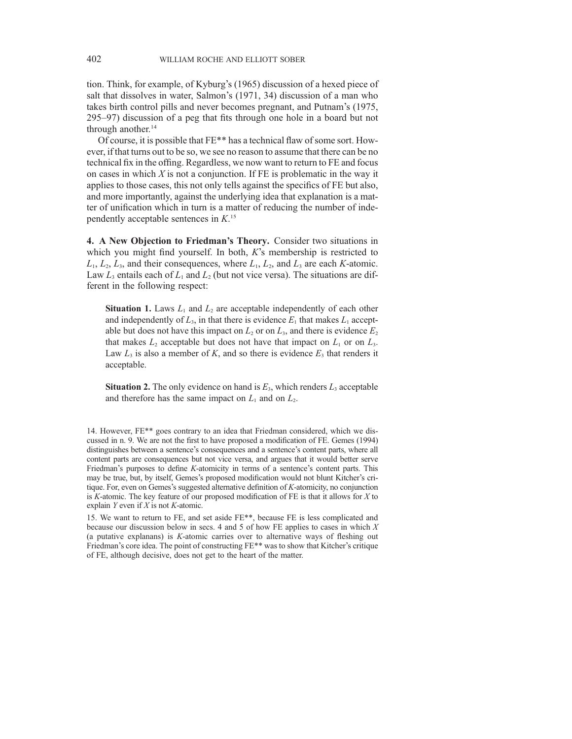tion. Think, for example, of Kyburg's (1965) discussion of a hexed piece of salt that dissolves in water, Salmon's (1971, 34) discussion of a man who takes birth control pills and never becomes pregnant, and Putnam's (1975, 295–97) discussion of a peg that fits through one hole in a board but not through another.<sup>14</sup>

Of course, it is possible that FE\*\* has a technical flaw of some sort. However, if that turns out to be so, we see no reason to assume that there can be no technical fix in the offing. Regardless, we now want to return to FE and focus on cases in which  $X$  is not a conjunction. If FE is problematic in the way it applies to those cases, this not only tells against the specifics of FE but also, and more importantly, against the underlying idea that explanation is a matter of unification which in turn is a matter of reducing the number of independently acceptable sentences in  $K$ .<sup>15</sup>

4. A New Objection to Friedman's Theory. Consider two situations in which you might find yourself. In both,  $K$ 's membership is restricted to  $L_1, L_2, L_3$ , and their consequences, where  $L_1, L_2$ , and  $L_3$  are each K-atomic. Law  $L_3$  entails each of  $L_1$  and  $L_2$  (but not vice versa). The situations are different in the following respect:

**Situation 1.** Laws  $L_1$  and  $L_2$  are acceptable independently of each other and independently of  $L_3$ , in that there is evidence  $E_1$  that makes  $L_1$  acceptable but does not have this impact on  $L_2$  or on  $L_3$ , and there is evidence  $E_2$ that makes  $L_2$  acceptable but does not have that impact on  $L_1$  or on  $L_3$ . Law  $L_3$  is also a member of K, and so there is evidence  $E_3$  that renders it acceptable.

**Situation 2.** The only evidence on hand is  $E_3$ , which renders  $L_3$  acceptable and therefore has the same impact on  $L_1$  and on  $L_2$ .

14. However, FE\*\* goes contrary to an idea that Friedman considered, which we discussed in n. 9. We are not the first to have proposed a modification of FE. Gemes (1994) distinguishes between a sentence's consequences and a sentence's content parts, where all content parts are consequences but not vice versa, and argues that it would better serve Friedman's purposes to define K-atomicity in terms of a sentence's content parts. This may be true, but, by itself, Gemes's proposed modification would not blunt Kitcher's critique. For, even on Gemes's suggested alternative definition of K-atomicity, no conjunction is K-atomic. The key feature of our proposed modification of FE is that it allows for  $X$  to explain  $Y$  even if  $X$  is not  $K$ -atomic.

15. We want to return to FE, and set aside FE\*\*, because FE is less complicated and because our discussion below in secs. 4 and 5 of how FE applies to cases in which  $X$ (a putative explanans) is K-atomic carries over to alternative ways of fleshing out Friedman's core idea. The point of constructing FE\*\* was to show that Kitcher's critique of FE, although decisive, does not get to the heart of the matter.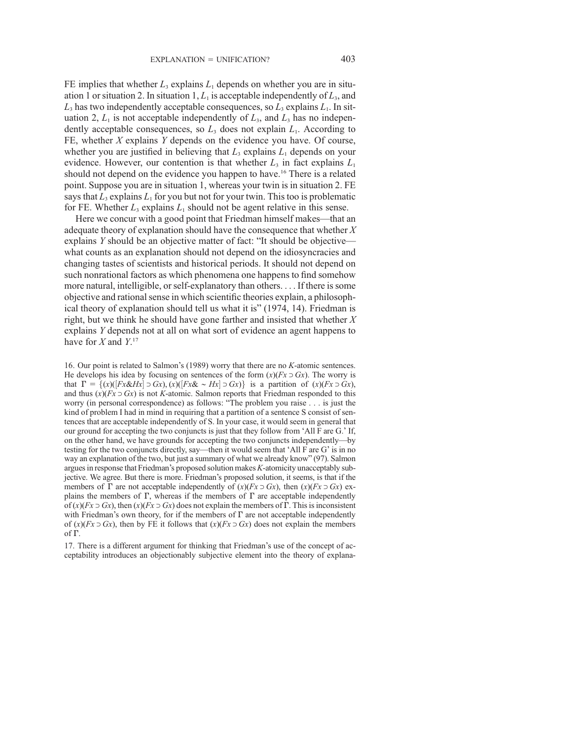FE implies that whether  $L_3$  explains  $L_1$  depends on whether you are in situation 1 or situation 2. In situation 1,  $L_1$  is acceptable independently of  $L_3$ , and  $L_3$  has two independently acceptable consequences, so  $L_3$  explains  $L_1$ . In situation 2,  $L_1$  is not acceptable independently of  $L_3$ , and  $L_3$  has no independently acceptable consequences, so  $L_3$  does not explain  $L_1$ . According to FE, whether  $X$  explains  $Y$  depends on the evidence you have. Of course, whether you are justified in believing that  $L_3$  explains  $L_1$  depends on your evidence. However, our contention is that whether  $L_3$  in fact explains  $L_1$ should not depend on the evidence you happen to have.<sup>16</sup> There is a related point. Suppose you are in situation 1, whereas your twin is in situation 2. FE says that  $L_3$  explains  $L_1$  for you but not for your twin. This too is problematic for FE. Whether  $L_3$  explains  $L_1$  should not be agent relative in this sense.

Here we concur with a good point that Friedman himself makes—that an adequate theory of explanation should have the consequence that whether  $X$ explains Y should be an objective matter of fact: "It should be objective what counts as an explanation should not depend on the idiosyncracies and changing tastes of scientists and historical periods. It should not depend on such nonrational factors as which phenomena one happens to find somehow more natural, intelligible, or self-explanatory than others. . . . If there is some objective and rational sense in which scientific theories explain, a philosophical theory of explanation should tell us what it is" (1974, 14). Friedman is right, but we think he should have gone farther and insisted that whether  $X$ explains Y depends not at all on what sort of evidence an agent happens to have for  $X$  and  $Y<sup>17</sup>$ 

16. Our point is related to Salmon's (1989) worry that there are no K-atomic sentences. He develops his idea by focusing on sentences of the form  $(x)(Fx \supset Gx)$ . The worry is that  $\Gamma = \{(x)([Fx\&Hx] \supset Gx), (x)([Fx\& \sim Hx] \supset Gx)\}$  is a partition of  $(x)(Fx \supset Gx)$ ,<br>and thus  $(x)(Fx \supset Gx)$  is not K-atomic. Salmon reports that Friedman responded to this and thus  $(x)(Fx \supset Gx)$  is not K-atomic. Salmon reports that Friedman responded to this worry (in personal correspondence) as follows: "The problem you raise . . . is just the kind of problem I had in mind in requiring that a partition of a sentence S consist of sentences that are acceptable independently of S. In your case, it would seem in general that our ground for accepting the two conjuncts is just that they follow from 'All F are G.' If, on the other hand, we have grounds for accepting the two conjuncts independently—by testing for the two conjuncts directly, say—then it would seem that 'All F are G' is in no way an explanation of the two, but just a summary of what we already know" (97). Salmon argues in response that Friedman's proposed solution makesK-atomicity unacceptably subjective. We agree. But there is more. Friedman's proposed solution, it seems, is that if the members of  $\Gamma$  are not acceptable independently of  $(x)(Fx \supset Gx)$ , then  $(x)(Fx \supset Gx)$  explains the members of  $\Gamma$ , whereas if the members of  $\Gamma$  are acceptable independently of  $(x)(Fx \supset Gx)$ , then  $(x)(Fx \supset Gx)$  does not explain the members of  $\Gamma$ . This is inconsistent with Friedman's own theory, for if the members of  $\Gamma$  are not acceptable independently of  $(x)(Fx \supset Gx)$ , then by FE it follows that  $(x)(Fx \supset Gx)$  does not explain the members of  $\Gamma$ .

17. There is a different argument for thinking that Friedman's use of the concept of acceptability introduces an objectionably subjective element into the theory of explana-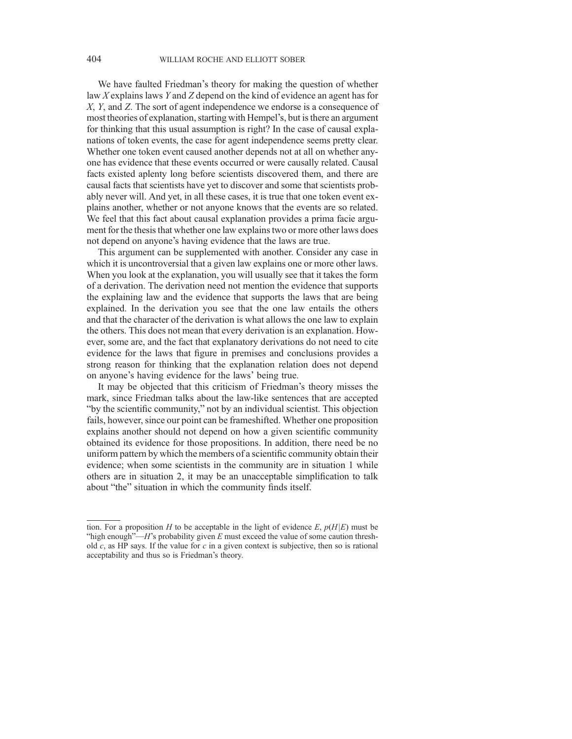We have faulted Friedman's theory for making the question of whether law X explains laws Y and Z depend on the kind of evidence an agent has for X, Y, and Z. The sort of agent independence we endorse is a consequence of most theories of explanation, starting with Hempel's, but is there an argument for thinking that this usual assumption is right? In the case of causal explanations of token events, the case for agent independence seems pretty clear. Whether one token event caused another depends not at all on whether anyone has evidence that these events occurred or were causally related. Causal facts existed aplenty long before scientists discovered them, and there are causal facts that scientists have yet to discover and some that scientists probably never will. And yet, in all these cases, it is true that one token event explains another, whether or not anyone knows that the events are so related. We feel that this fact about causal explanation provides a prima facie argument for the thesis that whether one law explains two or more other laws does not depend on anyone's having evidence that the laws are true.

This argument can be supplemented with another. Consider any case in which it is uncontroversial that a given law explains one or more other laws. When you look at the explanation, you will usually see that it takes the form of a derivation. The derivation need not mention the evidence that supports the explaining law and the evidence that supports the laws that are being explained. In the derivation you see that the one law entails the others and that the character of the derivation is what allows the one law to explain the others. This does not mean that every derivation is an explanation. However, some are, and the fact that explanatory derivations do not need to cite evidence for the laws that figure in premises and conclusions provides a strong reason for thinking that the explanation relation does not depend on anyone's having evidence for the laws' being true.

It may be objected that this criticism of Friedman's theory misses the mark, since Friedman talks about the law-like sentences that are accepted "by the scientific community," not by an individual scientist. This objection fails, however, since our point can be frameshifted. Whether one proposition explains another should not depend on how a given scientific community obtained its evidence for those propositions. In addition, there need be no uniform pattern by which the members of a scientific community obtain their evidence; when some scientists in the community are in situation 1 while others are in situation 2, it may be an unacceptable simplification to talk about "the" situation in which the community finds itself.

tion. For a proposition H to be acceptable in the light of evidence E,  $p(H|E)$  must be "high enough"—H's probability given  $E$  must exceed the value of some caution threshold c, as HP says. If the value for c in a given context is subjective, then so is rational acceptability and thus so is Friedman's theory.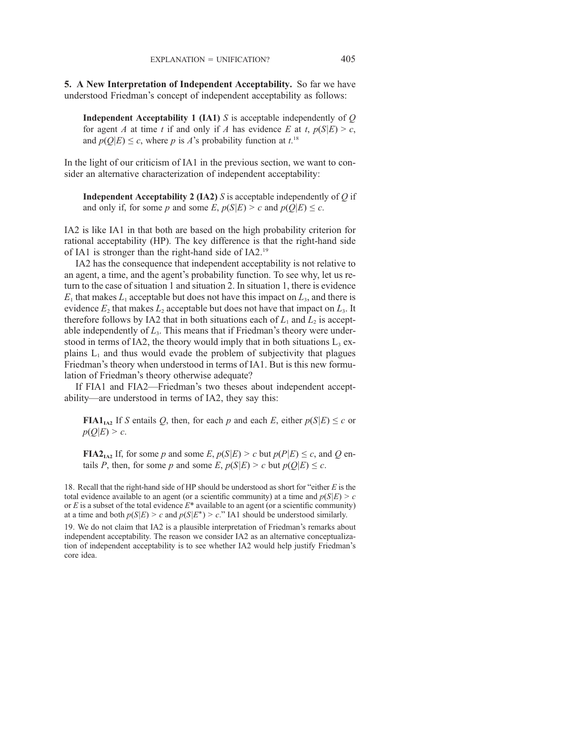5. A New Interpretation of Independent Acceptability. So far we have understood Friedman's concept of independent acceptability as follows:

**Independent Acceptability 1 (IA1)** S is acceptable independently of  $Q$ for agent A at time t if and only if A has evidence E at t,  $p(S|E) > c$ , and  $p(Q|E) \leq c$ , where p is A's probability function at t.<sup>18</sup>

In the light of our criticism of IA1 in the previous section, we want to consider an alternative characterization of independent acceptability:

**Independent Acceptability 2 (IA2)** S is acceptable independently of  $Q$  if and only if, for some p and some E,  $p(S|E) > c$  and  $p(O|E) \leq c$ .

IA2 is like IA1 in that both are based on the high probability criterion for rational acceptability (HP). The key difference is that the right-hand side of IA1 is stronger than the right-hand side of IA2.19

IA2 has the consequence that independent acceptability is not relative to an agent, a time, and the agent's probability function. To see why, let us return to the case of situation 1 and situation 2. In situation 1, there is evidence  $E_1$  that makes  $L_1$  acceptable but does not have this impact on  $L_3$ , and there is evidence  $E_2$  that makes  $L_2$  acceptable but does not have that impact on  $L_3$ . It therefore follows by IA2 that in both situations each of  $L_1$  and  $L_2$  is acceptable independently of  $L<sub>3</sub>$ . This means that if Friedman's theory were understood in terms of IA2, the theory would imply that in both situations  $L_3$  explains  $L_1$  and thus would evade the problem of subjectivity that plagues Friedman's theory when understood in terms of IA1. But is this new formulation of Friedman's theory otherwise adequate?

If FIA1 and FIA2—Friedman's two theses about independent acceptability—are understood in terms of IA2, they say this:

**FIA1**<sub>IA2</sub> If S entails Q, then, for each p and each E, either  $p(S|E) \leq c$  or  $p(Q|E) > c$ .

**FIA2**<sub>IA2</sub> If, for some p and some E,  $p(S|E) > c$  but  $p(P|E) \le c$ , and Q entails P, then, for some p and some E,  $p(S|E) > c$  but  $p(O|E) \leq c$ .

19. We do not claim that IA2 is a plausible interpretation of Friedman's remarks about independent acceptability. The reason we consider IA2 as an alternative conceptualization of independent acceptability is to see whether IA2 would help justify Friedman's core idea.

<sup>18.</sup> Recall that the right-hand side of HP should be understood as short for "either  $E$  is the total evidence available to an agent (or a scientific community) at a time and  $p(S|E) > c$ or  $E$  is a subset of the total evidence  $E^*$  available to an agent (or a scientific community) at a time and both  $p(S|E) > c$  and  $p(S|E^*) > c$ ." IA1 should be understood similarly.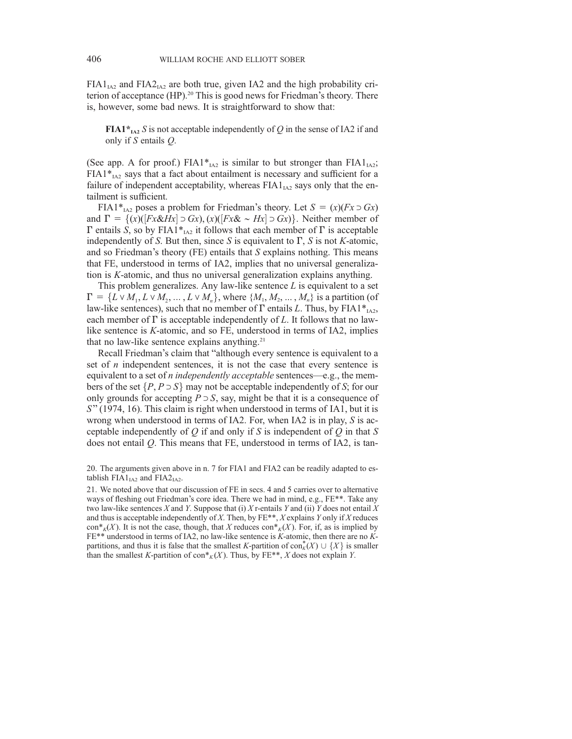$FIA1<sub>IA2</sub>$  and  $FIA2<sub>IA2</sub>$  are both true, given IA2 and the high probability criterion of acceptance (HP).<sup>20</sup> This is good news for Friedman's theory. There is, however, some bad news. It is straightforward to show that:

FIA1 $*_{IA2}$  S is not acceptable independently of Q in the sense of IA2 if and only if S entails Q.

(See app. A for proof.)  $FIA1*_{IA2}$  is similar to but stronger than  $FIA1_{IA2}$ ;  $FIA1*_{IA2}$  says that a fact about entailment is necessary and sufficient for a failure of independent acceptability, whereas  $FIA1<sub>IA2</sub>$  says only that the entailment is sufficient.

FIA1<sup>\*</sup><sub>IA2</sub> poses a problem for Friedman's theory. Let  $S = (x)(Fx \supset Gx)$ and  $\Gamma = \{ (x) ([Fx&Hx] \supset Gx), (x) ([Fx& ~Hx] \supset Gx) \}$ . Neither member of  $\Gamma$  entails S, so by  $FIA1*...$  it follows that each member of  $\Gamma$  is accentable  $\Gamma$  entails S, so by FIA1\*<sub>IA2</sub> it follows that each member of  $\Gamma$  is acceptable independently of S. But then, since S is equivalent to  $\Gamma$ , S is not K-atomic, and so Friedman's theory (FE) entails that S explains nothing. This means that FE, understood in terms of IA2, implies that no universal generalization is K-atomic, and thus no universal generalization explains anything.

This problem generalizes. Any law-like sentence  $L$  is equivalent to a set  $\Gamma = \{L \vee M_1, L \vee M_2, \ldots, L \vee M_n\}$ , where  $\{M_1, M_2, \ldots, M_n\}$  is a partition (of law-like sentences), such that no member of  $\Gamma$  entails L. Thus, by FIA1 $*_{IAS}$ , each member of  $\Gamma$  is acceptable independently of L. It follows that no lawlike sentence is K-atomic, and so FE, understood in terms of IA2, implies that no law-like sentence explains anything.<sup>21</sup>

Recall Friedman's claim that "although every sentence is equivalent to a set of  $n$  independent sentences, it is not the case that every sentence is equivalent to a set of *n* independently acceptable sentences—e.g., the members of the set  $\{P, P \supset S\}$  may not be acceptable independently of S; for our only grounds for accepting  $P \supset S$ , say, might be that it is a consequence of  $S''(1974, 16)$ . This claim is right when understood in terms of IA1, but it is wrong when understood in terms of IA2. For, when IA2 is in play, S is acceptable independently of  $Q$  if and only if S is independent of  $Q$  in that S does not entail Q. This means that FE, understood in terms of IA2, is tan-

20. The arguments given above in n. 7 for FIA1 and FIA2 can be readily adapted to establish  $FIA1<sub>IA2</sub>$  and  $FIA2<sub>IA2</sub>$ .

21. We noted above that our discussion of FE in secs. 4 and 5 carries over to alternative ways of fleshing out Friedman's core idea. There we had in mind, e.g., FE\*\*. Take any two law-like sentences X and Y. Suppose that (i) X r-entails Y and (ii) Y does not entail X and thus is acceptable independently of  $X$ . Then, by  $FE^{**}$ ,  $X$  explains  $Y$  only if  $X$  reduces con<sup>\*</sup><sub>K</sub>(X). It is not the case, though, that X reduces con<sup>\*</sup><sub>K</sub>(X). For, if, as is implied by FE\*\* understood in terms of IA2, no law-like sentence is K-atomic, then there are no Kpartitions, and thus it is false that the smallest K-partition of  $con_K^*(X) \cup \{X\}$  is smaller<br>than the smallest K-partition of  $con^*(X)$ . Thus, by FF\*\*, X does not explain Y than the smallest K-partition of  $\text{con*}_K(X)$ . Thus, by FE\*\*, X does not explain Y.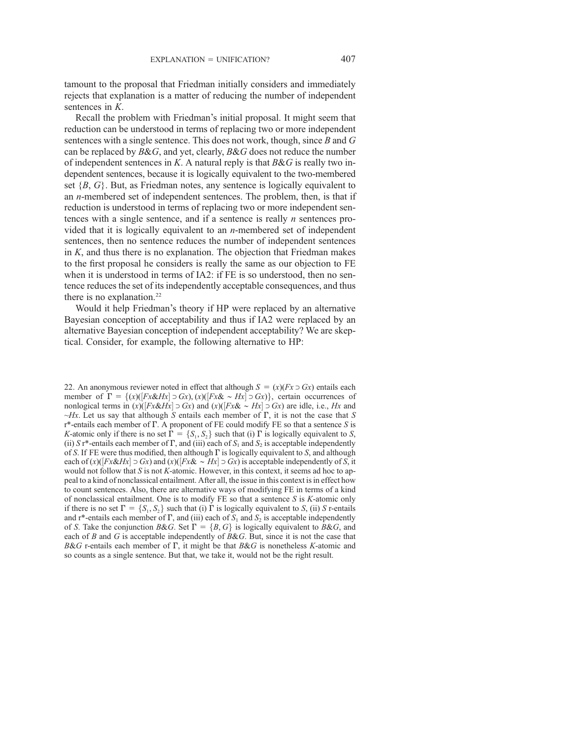tamount to the proposal that Friedman initially considers and immediately rejects that explanation is a matter of reducing the number of independent sentences in K.

Recall the problem with Friedman's initial proposal. It might seem that reduction can be understood in terms of replacing two or more independent sentences with a single sentence. This does not work, though, since B and G can be replaced by  $B&G$ , and yet, clearly,  $B&G$  does not reduce the number of independent sentences in K. A natural reply is that  $B\&G$  is really two independent sentences, because it is logically equivalent to the two-membered set  $\{B, G\}$ . But, as Friedman notes, any sentence is logically equivalent to an  $n$ -membered set of independent sentences. The problem, then, is that if reduction is understood in terms of replacing two or more independent sentences with a single sentence, and if a sentence is really  $n$  sentences provided that it is logically equivalent to an  $n$ -membered set of independent sentences, then no sentence reduces the number of independent sentences in  $K$ , and thus there is no explanation. The objection that Friedman makes to the first proposal he considers is really the same as our objection to FE when it is understood in terms of IA2: if FE is so understood, then no sentence reduces the set of its independently acceptable consequences, and thus there is no explanation.<sup>22</sup>

Would it help Friedman's theory if HP were replaced by an alternative Bayesian conception of acceptability and thus if IA2 were replaced by an alternative Bayesian conception of independent acceptability? We are skeptical. Consider, for example, the following alternative to HP:

22. An anonymous reviewer noted in effect that although  $S = (x)(Fx \supset Gx)$  entails each member of  $\Gamma = \{ (x) ([Fx&Hx] \supset Gx), (x) ([Fx& ~Hx] \supset Gx) \}$ , certain occurrences of<br>nonlogical terms in  $(x) ([Fx&Hx] \supset Gx)$  and  $(x) ([Fx& ~Hx] \supset Gx)$  are idle i.e. Hx and nonlogical terms in  $(x)([Fx\&Hx] \supset Gx)$  and  $(x)([Fx\& \sim Hx] \supset Gx)$  are idle, i.e., Hx and  $\sim Hx$ . Let us say that although S entails each member of  $\Gamma$  it is not the case that S  $-Hx$ . Let us say that although S entails each member of  $\Gamma$ , it is not the case that S  $r^*$ -entails each member of  $\Gamma$ . A proponent of FE could modify FE so that a sentence S is K-atomic only if there is no set  $\Gamma = \{S_1, S_2\}$  such that (i)  $\Gamma$  is logically equivalent to S, (ii) S r\*-entails each member of  $\Gamma$ , and (iii) each of  $S_1$  and  $S_2$  is acceptable independently of S. If FE were thus modified, then although  $\Gamma$  is logically equivalent to S, and although each of  $(x)([Fx&Hx] \supset Gx)$  and  $(x)([Fx& ~Hx] \supset Gx)$  is acceptable independently of S, it would not follow that S is not K-atomic. However, in this context, it seems ad hoc to anwould not follow that S is not K-atomic. However, in this context, it seems ad hoc to appeal to a kind of nonclassical entailment. After all, the issue in this context is in effect how to count sentences. Also, there are alternative ways of modifying FE in terms of a kind of nonclassical entailment. One is to modify FE so that a sentence  $S$  is  $K$ -atomic only if there is no set  $\Gamma = \{S_1, S_2\}$  such that (i)  $\Gamma$  is logically equivalent to S, (ii) S r-entails and r\*-entails each member of  $\Gamma$ , and (iii) each of  $S_1$  and  $S_2$  is acceptable independently of S. Take the conjunction B&G. Set  $\Gamma = \{B, G\}$  is logically equivalent to B&G, and each of B and G is acceptable independently of  $B&G$ . But, since it is not the case that  $B\&G$  r-entails each member of  $\Gamma$ , it might be that  $B\&G$  is nonetheless K-atomic and so counts as a single sentence. But that, we take it, would not be the right result.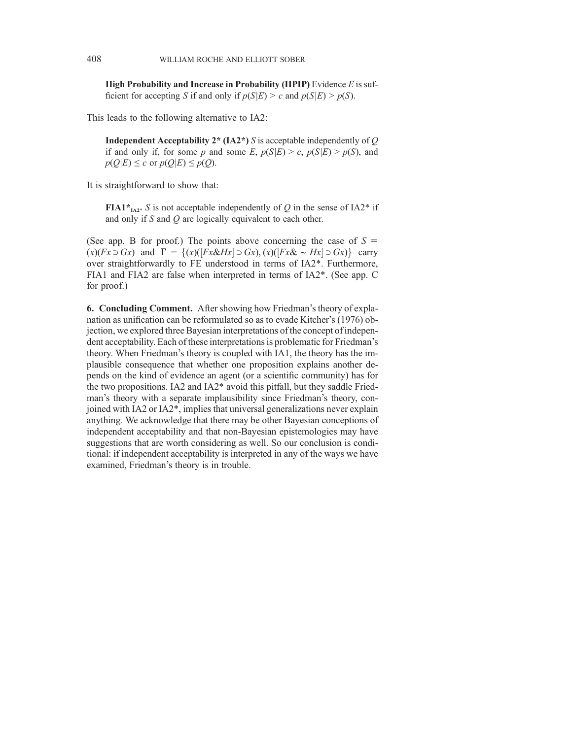High Probability and Increase in Probability (HPIP) Evidence  $E$  is sufficient for accepting S if and only if  $p(S|E) > c$  and  $p(S|E) > p(S)$ .

This leads to the following alternative to IA2:

**Independent Acceptability 2\* (IA2\*)** S is acceptable independently of  $Q$ if and only if, for some p and some E,  $p(S|E) > c$ ,  $p(S|E) > p(S)$ , and  $p(Q|E) \leq c$  or  $p(Q|E) \leq p(Q)$ .

It is straightforward to show that:

**FIA1**<sup>\*</sup><sub>IA2</sub><sup>\*</sup> S is not acceptable independently of Q in the sense of IA2<sup>\*</sup> if and only if  $S$  and  $Q$  are logically equivalent to each other.

(See app. B for proof.) The points above concerning the case of  $S =$  $(x)(Fx \supset Gx)$  and  $\Gamma = \{(x)([Fx \& Hx] \supset Gx), (x)([Fx \& \sim Hx] \supset Gx)\}$  carry over straightforwardly to FE understood in terms of IA2\* Furthermore over straightforwardly to FE understood in terms of IA2\*. Furthermore, FIA1 and FIA2 are false when interpreted in terms of IA2\*. (See app. C for proof.)

6. Concluding Comment. After showing how Friedman's theory of explanation as unification can be reformulated so as to evade Kitcher's (1976) objection, we explored three Bayesian interpretations of the concept of independent acceptability. Each of these interpretations is problematic for Friedman's theory. When Friedman's theory is coupled with IA1, the theory has the implausible consequence that whether one proposition explains another depends on the kind of evidence an agent (or a scientific community) has for the two propositions. IA2 and IA2\* avoid this pitfall, but they saddle Friedman's theory with a separate implausibility since Friedman's theory, conjoined with IA2 or IA2\*, implies that universal generalizations never explain anything. We acknowledge that there may be other Bayesian conceptions of independent acceptability and that non-Bayesian epistemologies may have suggestions that are worth considering as well. So our conclusion is conditional: if independent acceptability is interpreted in any of the ways we have examined, Friedman's theory is in trouble.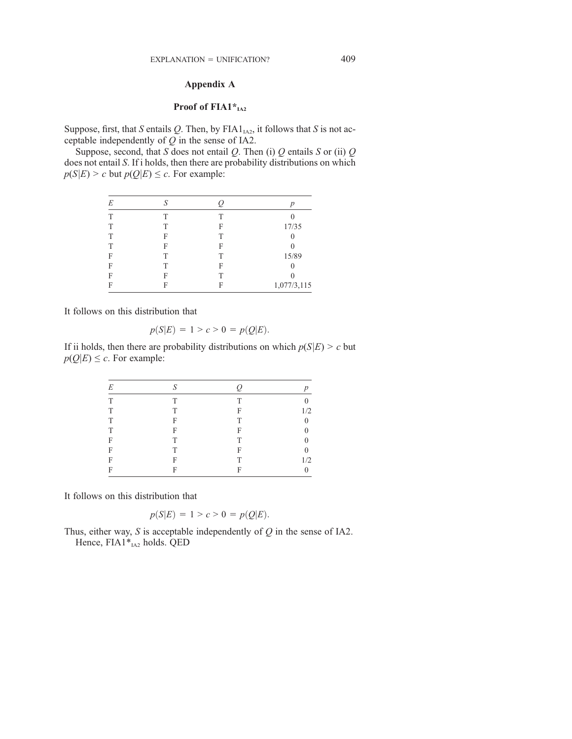#### Proof of  $FIA1*_{IA2}$

Suppose, first, that S entails Q. Then, by  $FIA1<sub>IAA2</sub>$ , it follows that S is not acceptable independently of  $Q$  in the sense of IA2.

Suppose, second, that  $S$  does not entail  $Q$ . Then (i)  $Q$  entails  $S$  or (ii)  $Q$ does not entail S. If i holds, then there are probability distributions on which  $p(S|E) > c$  but  $p(Q|E) \leq c$ . For example:

| E | S |   | D           |
|---|---|---|-------------|
| Т | т | т |             |
| T | Τ | F | 17/35       |
| Т | F | Τ |             |
| Τ | F | F |             |
| F |   |   | 15/89       |
| F | Τ | F |             |
| F | F | Т |             |
| F | F | F | 1,077/3,115 |
|   |   |   |             |

It follows on this distribution that

$$
p(S|E) = 1 > c > 0 = p(Q|E).
$$

If ii holds, then there are probability distributions on which  $p(S|E) > c$  but  $p(Q|E) \leq c$ . For example:

| E | S |   | $\boldsymbol{v}$ |
|---|---|---|------------------|
| Τ | T | Τ | $\theta$         |
| T | T | F | 1/2              |
| T | F | T | $\theta$         |
| T | F | F | $\Omega$         |
| F | T | Τ | $\Omega$         |
| F | T | F | $\boldsymbol{0}$ |
| F | F | Τ | 1/2              |
| F | F | F | $\Omega$         |
|   |   |   |                  |

It follows on this distribution that

$$
p(S|E) = 1 > c > 0 = p(Q|E).
$$

Thus, either way, S is acceptable independently of  $Q$  in the sense of IA2. Hence, FIA1<sup>\*</sup><sub>IA2</sub> holds. QED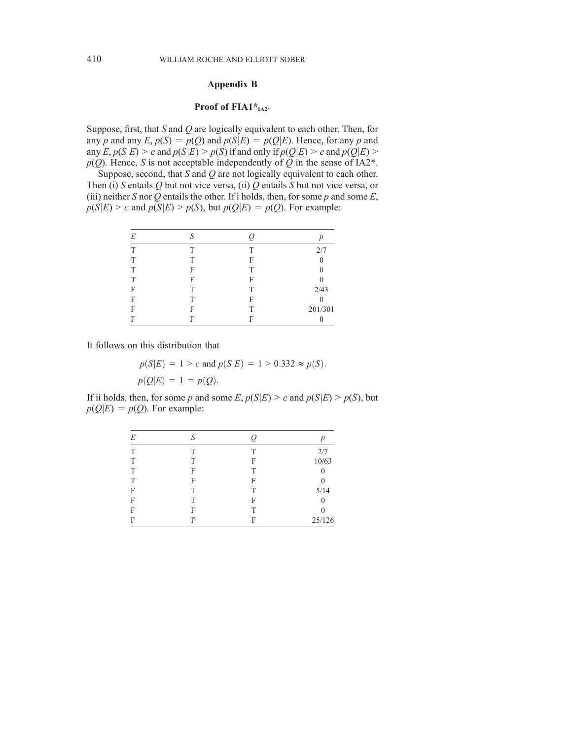#### Appendix B

#### Proof of  $FIA1*_{IA2*}$

Suppose, first, that  $S$  and  $Q$  are logically equivalent to each other. Then, for any p and any E,  $p(S) = p(Q)$  and  $p(S|E) = p(Q|E)$ . Hence, for any p and any  $E, p(S|E) > c$  and  $p(S|E) > p(S)$  if and only if  $p(Q|E) > c$  and  $p(Q|E) > c$  $p(Q)$ . Hence, S is not acceptable independently of Q in the sense of IA2<sup>\*</sup>.

Suppose, second, that  $S$  and  $Q$  are not logically equivalent to each other. Then (i) S entails  $Q$  but not vice versa, (ii)  $Q$  entails S but not vice versa, or (iii) neither S nor Q entails the other. If i holds, then, for some  $p$  and some  $E$ ,  $p(S|E) > c$  and  $p(S|E) > p(S)$ , but  $p(Q|E) = p(Q)$ . For example:

| E |   |   | $\boldsymbol{p}$ |
|---|---|---|------------------|
| T | Τ | т | 2/7              |
| Τ | Τ | F | 0                |
| Τ | F | т | 0                |
| т | F | F |                  |
| F | Τ | т | 2/43             |
| F | Τ | F | 0                |
| F | F |   | 201/301          |
| F | F | F |                  |

It follows on this distribution that

$$
p(S|E) = 1 > c
$$
 and  $p(S|E) = 1 > 0.332 \approx p(S)$ .

$$
p(Q|E) = 1 = p(Q).
$$

If ii holds, then, for some p and some E,  $p(S|E) > c$  and  $p(S|E) > p(S)$ , but  $p(Q|E) = p(Q)$ . For example:

| E | S |   | p      |
|---|---|---|--------|
| T | Τ | Τ | 2/7    |
| T | Т | F | 10/63  |
| T | F | Т |        |
| T | F | F | 0      |
| F | Τ | Τ | 5/14   |
| F | Т | F | 0      |
| F | F | Τ | 0      |
| F | F | F | 25/126 |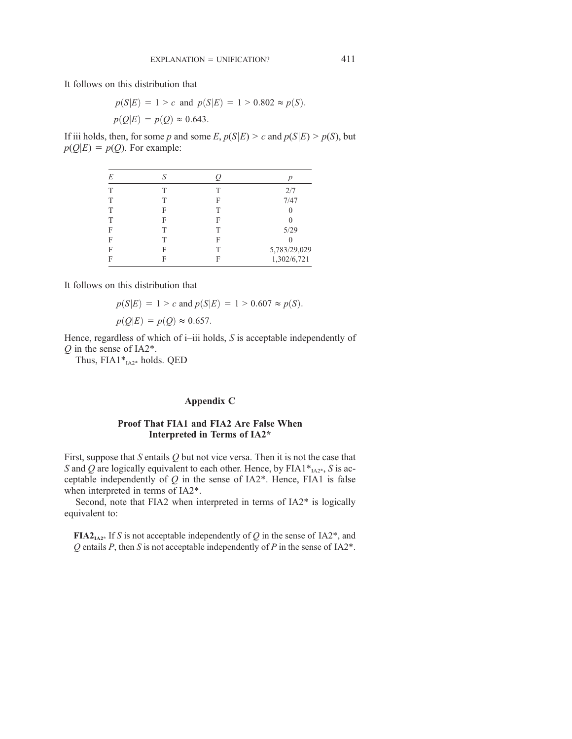It follows on this distribution that

$$
p(S|E) = 1 > c
$$
 and  $p(S|E) = 1 > 0.802 \approx p(S)$ .  
\n $p(Q|E) = p(Q) \approx 0.643$ .

If iii holds, then, for some p and some E,  $p(S|E) > c$  and  $p(S|E) > p(S)$ , but  $p(Q|E) = p(Q)$ . For example:

| E |   |   | p            |
|---|---|---|--------------|
| т | Τ | Т | 2/7          |
| T |   | F | 7/47         |
| T | F | т |              |
| T | F | F |              |
| F | т | т | 5/29         |
| F | т | F |              |
| F | F |   | 5,783/29,029 |
| F | F | F | 1,302/6,721  |

It follows on this distribution that

$$
p(S|E) = 1 > c
$$
 and  $p(S|E) = 1 > 0.607 \approx p(S)$ .

$$
p(Q|E) = p(Q) \approx 0.657.
$$

Hence, regardless of which of i–iii holds, S is acceptable independently of  $Q$  in the sense of IA2\*.

Thus,  $FIA1*_{IA2*}$  holds. QED

### Appendix C

### Proof That FIA1 and FIA2 Are False When Interpreted in Terms of IA2\*

First, suppose that  $S$  entails  $Q$  but not vice versa. Then it is not the case that S and Q are logically equivalent to each other. Hence, by  $FIA1*_{IA2*}$ , S is acceptable independently of  $Q$  in the sense of IA2\*. Hence, FIA1 is false when interpreted in terms of IA2\*.

Second, note that FIA2 when interpreted in terms of IA2\* is logically equivalent to:

**FIA2**<sub>IA2\*</sub> If S is not acceptable independently of Q in the sense of IA2<sup>\*</sup>, and  $Q$  entails  $P$ , then  $S$  is not acceptable independently of  $P$  in the sense of IA2\*.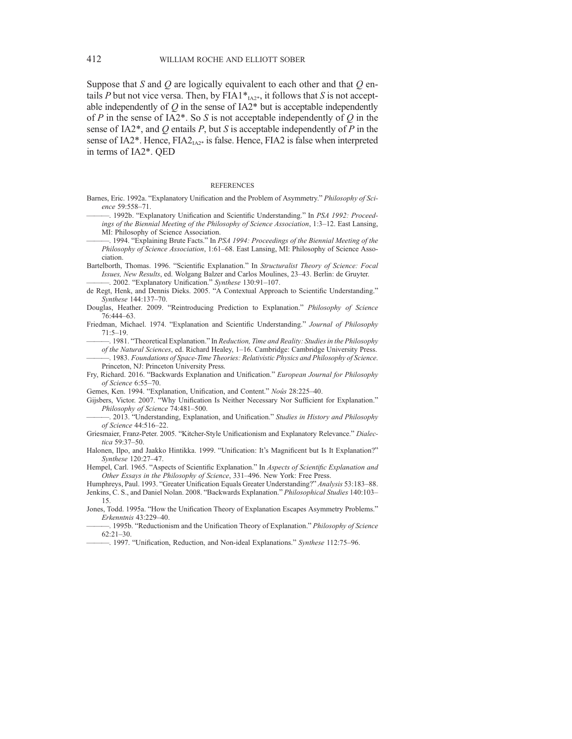Suppose that S and Q are logically equivalent to each other and that  $Q$  entails P but not vice versa. Then, by FIA1 $*_{I_1A_2*}$ , it follows that S is not acceptable independently of  $Q$  in the sense of IA2\* but is acceptable independently of P in the sense of IA2\*. So S is not acceptable independently of  $Q$  in the sense of IA2 $^*$ , and Q entails P, but S is acceptable independently of P in the sense of IA2\*. Hence,  $FIA2_{IA2*}$  is false. Hence,  $FIA2$  is false when interpreted in terms of IA2\*. QED

#### **REFERENCES**

- Barnes, Eric. 1992a. "Explanatory Unification and the Problem of Asymmetry." Philosophy of Science 59:558–71.
- ———. 1992b. "Explanatory Unification and Scientific Understanding." In PSA 1992: Proceedings of the Biennial Meeting of the Philosophy of Science Association, 1:3–12. East Lansing, MI: Philosophy of Science Association.
- 1994. "Explaining Brute Facts." In PSA 1994: Proceedings of the Biennial Meeting of the Philosophy of Science Association, 1:61–68. East Lansing, MI: Philosophy of Science Association.
- Bartelborth, Thomas. 1996. "Scientific Explanation." In Structuralist Theory of Science: Focal Issues, New Results, ed. Wolgang Balzer and Carlos Moulines, 23–43. Berlin: de Gruyter. -. 2002. "Explanatory Unification." Synthese 130:91-107.
- de Regt, Henk, and Dennis Dieks. 2005. "A Contextual Approach to Scientific Understanding." Synthese 144:137–70.
- Douglas, Heather. 2009. "Reintroducing Prediction to Explanation." Philosophy of Science 76:444–63.
- Friedman, Michael. 1974. "Explanation and Scientific Understanding." Journal of Philosophy 71:5–19.
- -. 1981. "Theoretical Explanation." In Reduction, Time and Reality: Studies in the Philosophy of the Natural Sciences, ed. Richard Healey, 1–16. Cambridge: Cambridge University Press.
- -. 1983. Foundations of Space-Time Theories: Relativistic Physics and Philosophy of Science. Princeton, NJ: Princeton University Press.
- Fry, Richard. 2016. "Backwards Explanation and Unification." European Journal for Philosophy of Science 6:55–70.
- Gemes, Ken. 1994. "Explanation, Unification, and Content." Noûs 28:225–40.
- Gijsbers, Victor. 2007. "Why Unification Is Neither Necessary Nor Sufficient for Explanation." Philosophy of Science 74:481–500.
- . 2013. "Understanding, Explanation, and Unification." Studies in History and Philosophy of Science 44:516–22.
- Griesmaier, Franz-Peter. 2005. "Kitcher-Style Unificationism and Explanatory Relevance." Dialectica 59:37–50.
- Halonen, Ilpo, and Jaakko Hintikka. 1999. "Unification: It's Magnificent but Is It Explanation?" Synthese 120:27–47.
- Hempel, Carl. 1965. "Aspects of Scientific Explanation." In Aspects of Scientific Explanation and Other Essays in the Philosophy of Science, 331–496. New York: Free Press.
- Humphreys, Paul. 1993. "Greater Unification Equals Greater Understanding?" Analysis 53:183–88. Jenkins, C. S., and Daniel Nolan. 2008. "Backwards Explanation." Philosophical Studies 140:103– 15.
- Jones, Todd. 1995a. "How the Unification Theory of Explanation Escapes Asymmetry Problems." Erkenntnis 43:229–40.
- -. 1995b. "Reductionism and the Unification Theory of Explanation." Philosophy of Science 62:21–30.
- -. 1997. "Unification, Reduction, and Non-ideal Explanations." Synthese 112:75-96.